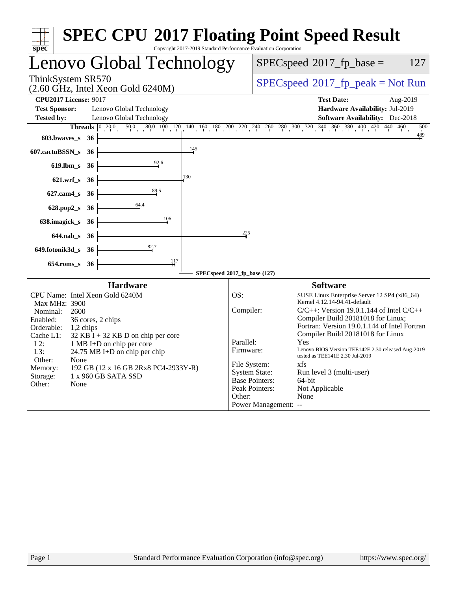| spec <sup>®</sup>                                                                                                                                                 |                                                                                                                                                                                                                                              | Copyright 2017-2019 Standard Performance Evaluation Corporation |                                                                      |                                                                                         | <b>SPEC CPU®2017 Floating Point Speed Result</b>                                                                                                                                                                                                                                                                                                                                                                                                   |
|-------------------------------------------------------------------------------------------------------------------------------------------------------------------|----------------------------------------------------------------------------------------------------------------------------------------------------------------------------------------------------------------------------------------------|-----------------------------------------------------------------|----------------------------------------------------------------------|-----------------------------------------------------------------------------------------|----------------------------------------------------------------------------------------------------------------------------------------------------------------------------------------------------------------------------------------------------------------------------------------------------------------------------------------------------------------------------------------------------------------------------------------------------|
|                                                                                                                                                                   |                                                                                                                                                                                                                                              | Lenovo Global Technology                                        |                                                                      | $SPEC speed^{\circ}2017$ _fp_base =<br>127                                              |                                                                                                                                                                                                                                                                                                                                                                                                                                                    |
| ThinkSystem SR570                                                                                                                                                 | $(2.60 \text{ GHz}, \text{Intel Xeon Gold } 6240 \text{M})$                                                                                                                                                                                  |                                                                 |                                                                      | $SPEC speed^{\circ}2017\_fp\_peak = Not Run$                                            |                                                                                                                                                                                                                                                                                                                                                                                                                                                    |
| <b>CPU2017 License: 9017</b>                                                                                                                                      |                                                                                                                                                                                                                                              |                                                                 |                                                                      |                                                                                         | <b>Test Date:</b><br>Aug-2019                                                                                                                                                                                                                                                                                                                                                                                                                      |
| <b>Test Sponsor:</b>                                                                                                                                              | Lenovo Global Technology                                                                                                                                                                                                                     |                                                                 |                                                                      |                                                                                         | Hardware Availability: Jul-2019                                                                                                                                                                                                                                                                                                                                                                                                                    |
| <b>Tested by:</b>                                                                                                                                                 | Lenovo Global Technology                                                                                                                                                                                                                     |                                                                 |                                                                      |                                                                                         | <b>Software Availability:</b> Dec-2018                                                                                                                                                                                                                                                                                                                                                                                                             |
|                                                                                                                                                                   |                                                                                                                                                                                                                                              |                                                                 |                                                                      |                                                                                         | <b>Threads</b> $\begin{bmatrix} 0 & 20.0 & 50.0 & 80.0 & 100 & 120 & 140 & 160 & 180 & 200 & 220 & 240 & 260 & 280 & 300 & 320 & 340 & 360 & 380 & 400 & 420 & 440 & 460 \end{bmatrix}$<br>500<br>$\frac{489}{4}$                                                                                                                                                                                                                                  |
| $603.bwaves$ s                                                                                                                                                    | - 36                                                                                                                                                                                                                                         |                                                                 |                                                                      |                                                                                         |                                                                                                                                                                                                                                                                                                                                                                                                                                                    |
| 607.cactuBSSN_s                                                                                                                                                   | 36                                                                                                                                                                                                                                           | 145                                                             |                                                                      |                                                                                         |                                                                                                                                                                                                                                                                                                                                                                                                                                                    |
| $619$ .lbm_s                                                                                                                                                      | 36                                                                                                                                                                                                                                           | 92.6                                                            |                                                                      |                                                                                         |                                                                                                                                                                                                                                                                                                                                                                                                                                                    |
| $621.wrf$ <sub>S</sub>                                                                                                                                            | 36                                                                                                                                                                                                                                           | 130                                                             |                                                                      |                                                                                         |                                                                                                                                                                                                                                                                                                                                                                                                                                                    |
| $627$ .cam $4_s$                                                                                                                                                  | 36                                                                                                                                                                                                                                           | $\frac{89.5}{4}$                                                |                                                                      |                                                                                         |                                                                                                                                                                                                                                                                                                                                                                                                                                                    |
| $628.pop2_s$                                                                                                                                                      | 64.4<br>-36                                                                                                                                                                                                                                  |                                                                 |                                                                      |                                                                                         |                                                                                                                                                                                                                                                                                                                                                                                                                                                    |
| 638.imagick_s                                                                                                                                                     | 36                                                                                                                                                                                                                                           | 106                                                             |                                                                      |                                                                                         |                                                                                                                                                                                                                                                                                                                                                                                                                                                    |
| $644$ .nab_s                                                                                                                                                      | 36                                                                                                                                                                                                                                           |                                                                 | 225                                                                  |                                                                                         |                                                                                                                                                                                                                                                                                                                                                                                                                                                    |
| 649.fotonik3d_s                                                                                                                                                   | -36                                                                                                                                                                                                                                          | 82.7                                                            |                                                                      |                                                                                         |                                                                                                                                                                                                                                                                                                                                                                                                                                                    |
| $654$ .roms s                                                                                                                                                     | 36                                                                                                                                                                                                                                           | 117                                                             |                                                                      |                                                                                         |                                                                                                                                                                                                                                                                                                                                                                                                                                                    |
|                                                                                                                                                                   |                                                                                                                                                                                                                                              |                                                                 | SPECspeed®2017_fp_base (127)                                         |                                                                                         |                                                                                                                                                                                                                                                                                                                                                                                                                                                    |
| Max MHz: 3900<br>Nominal:<br>2600<br>Enabled:<br>Orderable:<br>1,2 chips<br>Cache L1:<br>$L2$ :<br>L3:<br>Other:<br>None<br>Memory:<br>Storage:<br>Other:<br>None | <b>Hardware</b><br>CPU Name: Intel Xeon Gold 6240M<br>36 cores, 2 chips<br>$32$ KB I + 32 KB D on chip per core<br>1 MB I+D on chip per core<br>24.75 MB I+D on chip per chip<br>192 GB (12 x 16 GB 2Rx8 PC4-2933Y-R)<br>1 x 960 GB SATA SSD |                                                                 | OS:<br>Compiler:<br>Parallel:<br>Firmware:<br>File System:<br>Other: | <b>System State:</b><br><b>Base Pointers:</b><br>Peak Pointers:<br>Power Management: -- | <b>Software</b><br>SUSE Linux Enterprise Server 12 SP4 (x86_64)<br>Kernel 4.12.14-94.41-default<br>$C/C++$ : Version 19.0.1.144 of Intel $C/C++$<br>Compiler Build 20181018 for Linux;<br>Fortran: Version 19.0.1.144 of Intel Fortran<br>Compiler Build 20181018 for Linux<br>Yes<br>Lenovo BIOS Version TEE142E 2.30 released Aug-2019<br>tested as TEE141E 2.30 Jul-2019<br>xfs<br>Run level 3 (multi-user)<br>64-bit<br>Not Applicable<br>None |
|                                                                                                                                                                   |                                                                                                                                                                                                                                              |                                                                 |                                                                      |                                                                                         |                                                                                                                                                                                                                                                                                                                                                                                                                                                    |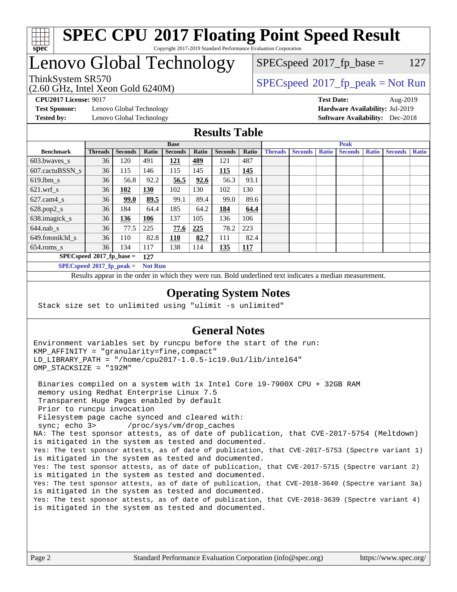

#### **[SPEC CPU](http://www.spec.org/auto/cpu2017/Docs/result-fields.html#SPECCPU2017FloatingPointSpeedResult)[2017 Floating Point Speed Result](http://www.spec.org/auto/cpu2017/Docs/result-fields.html#SPECCPU2017FloatingPointSpeedResult)** Copyright 2017-2019 Standard Performance Evaluation Corporation

# Lenovo Global Technology

(2.60 GHz, Intel Xeon Gold 6240M)

 $SPEC speed^{\circ}2017\_fp\_base = 127$ 

### ThinkSystem SR570<br>  $SPEC speed^{\circ}2017$  [p\_peak = Not Run

**[Test Sponsor:](http://www.spec.org/auto/cpu2017/Docs/result-fields.html#TestSponsor)** Lenovo Global Technology **[Hardware Availability:](http://www.spec.org/auto/cpu2017/Docs/result-fields.html#HardwareAvailability)** Jul-2019 **[Tested by:](http://www.spec.org/auto/cpu2017/Docs/result-fields.html#Testedby)** Lenovo Global Technology **[Software Availability:](http://www.spec.org/auto/cpu2017/Docs/result-fields.html#SoftwareAvailability)** Dec-2018

**[CPU2017 License:](http://www.spec.org/auto/cpu2017/Docs/result-fields.html#CPU2017License)** 9017 **[Test Date:](http://www.spec.org/auto/cpu2017/Docs/result-fields.html#TestDate)** Aug-2019

#### **[Results Table](http://www.spec.org/auto/cpu2017/Docs/result-fields.html#ResultsTable)**

|                                    | <b>Base</b>                 |                |                |                |       | <b>Peak</b>    |            |                |                |              |                |              |                |              |
|------------------------------------|-----------------------------|----------------|----------------|----------------|-------|----------------|------------|----------------|----------------|--------------|----------------|--------------|----------------|--------------|
| <b>Benchmark</b>                   | <b>Threads</b>              | <b>Seconds</b> | Ratio          | <b>Seconds</b> | Ratio | <b>Seconds</b> | Ratio      | <b>Threads</b> | <b>Seconds</b> | <b>Ratio</b> | <b>Seconds</b> | <b>Ratio</b> | <b>Seconds</b> | <b>Ratio</b> |
| 603.bwayes_s                       | 36                          | 120            | 491            | 121            | 489   | 121            | 487        |                |                |              |                |              |                |              |
| 607.cactuBSSN s                    | 36                          | 115            | 146            | 115            | 145   | 115            | 145        |                |                |              |                |              |                |              |
| $619.$ lbm s                       | 36                          | 56.8           | 92.2           | 56.5           | 92.6  | 56.3           | 93.1       |                |                |              |                |              |                |              |
| $621.wrf$ s                        | 36                          | 102            | 130            | 102            | 130   | 102            | 130        |                |                |              |                |              |                |              |
| $627$ .cam $4 \text{ s}$           | 36                          | 99.0           | 89.5           | 99.1           | 89.4  | 99.0           | 89.6       |                |                |              |                |              |                |              |
| $628.pop2_s$                       | 36                          | 184            | 64.4           | 185            | 64.2  | 184            | 64.4       |                |                |              |                |              |                |              |
| 638.imagick_s                      | 36                          | 136            | 106            | 137            | 105   | 136            | 106        |                |                |              |                |              |                |              |
| $644$ .nab s                       | 36                          | 77.5           | 225            | 77.6           | 225   | 78.2           | 223        |                |                |              |                |              |                |              |
| 649.fotonik3d s                    | 36                          | 110            | 82.8           | 110            | 82.7  | 111            | 82.4       |                |                |              |                |              |                |              |
| $654$ .roms_s                      | 36                          | 134            | 117            | 138            | 114   | 135            | <b>117</b> |                |                |              |                |              |                |              |
| $SPECspeed*2017_fp\_base =$<br>127 |                             |                |                |                |       |                |            |                |                |              |                |              |                |              |
|                                    | $SPECspeed*2017_fp\_peak =$ |                | <b>Not Run</b> |                |       |                |            |                |                |              |                |              |                |              |

Results appear in the [order in which they were run.](http://www.spec.org/auto/cpu2017/Docs/result-fields.html#RunOrder) Bold underlined text [indicates a median measurement](http://www.spec.org/auto/cpu2017/Docs/result-fields.html#Median).

#### **[Operating System Notes](http://www.spec.org/auto/cpu2017/Docs/result-fields.html#OperatingSystemNotes)**

Stack size set to unlimited using "ulimit -s unlimited"

#### **[General Notes](http://www.spec.org/auto/cpu2017/Docs/result-fields.html#GeneralNotes)**

Environment variables set by runcpu before the start of the run: KMP\_AFFINITY = "granularity=fine,compact" LD\_LIBRARY\_PATH = "/home/cpu2017-1.0.5-ic19.0u1/lib/intel64" OMP\_STACKSIZE = "192M"

 Binaries compiled on a system with 1x Intel Core i9-7900X CPU + 32GB RAM memory using Redhat Enterprise Linux 7.5 Transparent Huge Pages enabled by default Prior to runcpu invocation Filesystem page cache synced and cleared with: sync; echo 3> /proc/sys/vm/drop\_caches NA: The test sponsor attests, as of date of publication, that CVE-2017-5754 (Meltdown) is mitigated in the system as tested and documented. Yes: The test sponsor attests, as of date of publication, that CVE-2017-5753 (Spectre variant 1) is mitigated in the system as tested and documented. Yes: The test sponsor attests, as of date of publication, that CVE-2017-5715 (Spectre variant 2) is mitigated in the system as tested and documented. Yes: The test sponsor attests, as of date of publication, that CVE-2018-3640 (Spectre variant 3a) is mitigated in the system as tested and documented. Yes: The test sponsor attests, as of date of publication, that CVE-2018-3639 (Spectre variant 4) is mitigated in the system as tested and documented.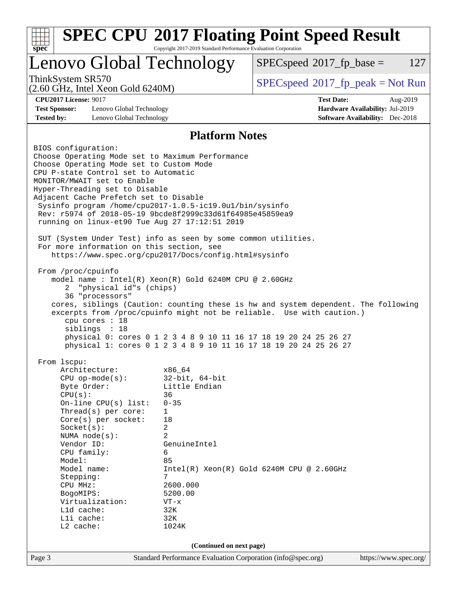| <b>SPEC CPU®2017 Floating Point Speed Result</b><br>Copyright 2017-2019 Standard Performance Evaluation Corporation<br>spec <sup>®</sup>                                                                                                                                                                                                                                                                                                                                                                                                                                                                                                                                                                                                                                                                                                                                                                                                                                                                                          |                                                                                                                                                                                            |                                              |                                                                           |          |  |  |
|-----------------------------------------------------------------------------------------------------------------------------------------------------------------------------------------------------------------------------------------------------------------------------------------------------------------------------------------------------------------------------------------------------------------------------------------------------------------------------------------------------------------------------------------------------------------------------------------------------------------------------------------------------------------------------------------------------------------------------------------------------------------------------------------------------------------------------------------------------------------------------------------------------------------------------------------------------------------------------------------------------------------------------------|--------------------------------------------------------------------------------------------------------------------------------------------------------------------------------------------|----------------------------------------------|---------------------------------------------------------------------------|----------|--|--|
| Lenovo Global Technology                                                                                                                                                                                                                                                                                                                                                                                                                                                                                                                                                                                                                                                                                                                                                                                                                                                                                                                                                                                                          |                                                                                                                                                                                            | $SPEC speed^{\circ}2017$ _fp_base =          |                                                                           | 127      |  |  |
| ThinkSystem SR570<br>$(2.60 \text{ GHz}, \text{Intel Xeon Gold } 6240 \text{M})$                                                                                                                                                                                                                                                                                                                                                                                                                                                                                                                                                                                                                                                                                                                                                                                                                                                                                                                                                  |                                                                                                                                                                                            | $SPEC speed^{\circ}2017\_fp\_peak = Not Run$ |                                                                           |          |  |  |
| <b>CPU2017 License: 9017</b><br><b>Test Sponsor:</b><br>Lenovo Global Technology<br><b>Tested by:</b><br>Lenovo Global Technology                                                                                                                                                                                                                                                                                                                                                                                                                                                                                                                                                                                                                                                                                                                                                                                                                                                                                                 |                                                                                                                                                                                            | <b>Test Date:</b>                            | Hardware Availability: Jul-2019<br><b>Software Availability:</b> Dec-2018 | Aug-2019 |  |  |
|                                                                                                                                                                                                                                                                                                                                                                                                                                                                                                                                                                                                                                                                                                                                                                                                                                                                                                                                                                                                                                   | <b>Platform Notes</b>                                                                                                                                                                      |                                              |                                                                           |          |  |  |
| BIOS configuration:<br>Choose Operating Mode set to Maximum Performance<br>Choose Operating Mode set to Custom Mode<br>CPU P-state Control set to Automatic<br>MONITOR/MWAIT set to Enable<br>Hyper-Threading set to Disable<br>Adjacent Cache Prefetch set to Disable<br>Sysinfo program /home/cpu2017-1.0.5-ic19.0ul/bin/sysinfo<br>Rev: r5974 of 2018-05-19 9bcde8f2999c33d61f64985e45859ea9<br>running on linux-et90 Tue Aug 27 17:12:51 2019<br>SUT (System Under Test) info as seen by some common utilities.<br>For more information on this section, see<br>https://www.spec.org/cpu2017/Docs/config.html#sysinfo<br>From /proc/cpuinfo<br>model name : Intel(R) Xeon(R) Gold 6240M CPU @ 2.60GHz<br>"physical id"s (chips)<br>2<br>36 "processors"<br>cores, siblings (Caution: counting these is hw and system dependent. The following<br>excerpts from /proc/cpuinfo might not be reliable. Use with caution.)<br>cpu cores : 18<br>siblings : 18<br>physical 0: cores 0 1 2 3 4 8 9 10 11 16 17 18 19 20 24 25 26 27 |                                                                                                                                                                                            |                                              |                                                                           |          |  |  |
| From lscpu:<br>Architecture:<br>$CPU$ op-mode( $s$ ):<br>Byte Order:<br>CPU(s):<br>On-line $CPU(s)$ list:<br>Thread(s) per core:<br>Core(s) per socket:<br>Socket(s):<br>NUMA $node(s)$ :<br>Vendor ID:<br>CPU family:<br>Model:<br>Model name:<br>Stepping:<br>CPU MHz:<br>BogoMIPS:<br>Virtualization:<br>L1d cache:<br>Lli cache:<br>L2 cache:                                                                                                                                                                                                                                                                                                                                                                                                                                                                                                                                                                                                                                                                                 | x86_64<br>$32$ -bit, $64$ -bit<br>Little Endian<br>36<br>$0 - 35$<br>$\mathbf 1$<br>18<br>2<br>2<br>GenuineIntel<br>6<br>85<br>7<br>2600.000<br>5200.00<br>$VT - x$<br>32K<br>32K<br>1024K | $Intel(R) Xeon(R) Gold 6240M CPU @ 2.60GHz$  |                                                                           |          |  |  |
| (Continued on next page)                                                                                                                                                                                                                                                                                                                                                                                                                                                                                                                                                                                                                                                                                                                                                                                                                                                                                                                                                                                                          |                                                                                                                                                                                            |                                              |                                                                           |          |  |  |
| Page 3                                                                                                                                                                                                                                                                                                                                                                                                                                                                                                                                                                                                                                                                                                                                                                                                                                                                                                                                                                                                                            | Standard Performance Evaluation Corporation (info@spec.org)                                                                                                                                |                                              | https://www.spec.org/                                                     |          |  |  |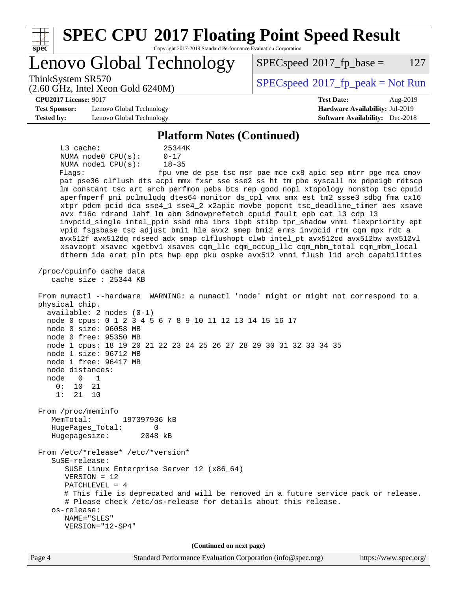| <b>SPEC CPU®2017 Floating Point Speed Result</b><br>$spec*$<br>Copyright 2017-2019 Standard Performance Evaluation Corporation                                                                                                                                                                                                                                                                                                                                                                                                                                                                                                                                                                                                                                                                                                                                                                                                                                                                                                                                                                                                                                                                                                                                                                                                                                                                                                                                                                                                                                                                                                                                                                                                                                                                                                                                                                                                                                                                                                     |                                                                           |  |  |  |  |  |
|------------------------------------------------------------------------------------------------------------------------------------------------------------------------------------------------------------------------------------------------------------------------------------------------------------------------------------------------------------------------------------------------------------------------------------------------------------------------------------------------------------------------------------------------------------------------------------------------------------------------------------------------------------------------------------------------------------------------------------------------------------------------------------------------------------------------------------------------------------------------------------------------------------------------------------------------------------------------------------------------------------------------------------------------------------------------------------------------------------------------------------------------------------------------------------------------------------------------------------------------------------------------------------------------------------------------------------------------------------------------------------------------------------------------------------------------------------------------------------------------------------------------------------------------------------------------------------------------------------------------------------------------------------------------------------------------------------------------------------------------------------------------------------------------------------------------------------------------------------------------------------------------------------------------------------------------------------------------------------------------------------------------------------|---------------------------------------------------------------------------|--|--|--|--|--|
| Lenovo Global Technology                                                                                                                                                                                                                                                                                                                                                                                                                                                                                                                                                                                                                                                                                                                                                                                                                                                                                                                                                                                                                                                                                                                                                                                                                                                                                                                                                                                                                                                                                                                                                                                                                                                                                                                                                                                                                                                                                                                                                                                                           | $SPEC speed^{\circ}2017$ _fp_base =<br>127                                |  |  |  |  |  |
| ThinkSystem SR570<br>$(2.60 \text{ GHz}, \text{Intel Xeon Gold } 6240 \text{M})$                                                                                                                                                                                                                                                                                                                                                                                                                                                                                                                                                                                                                                                                                                                                                                                                                                                                                                                                                                                                                                                                                                                                                                                                                                                                                                                                                                                                                                                                                                                                                                                                                                                                                                                                                                                                                                                                                                                                                   | $SPEC speed^{\circ}2017\_fp\_peak = Not Run$                              |  |  |  |  |  |
| <b>CPU2017 License: 9017</b>                                                                                                                                                                                                                                                                                                                                                                                                                                                                                                                                                                                                                                                                                                                                                                                                                                                                                                                                                                                                                                                                                                                                                                                                                                                                                                                                                                                                                                                                                                                                                                                                                                                                                                                                                                                                                                                                                                                                                                                                       | <b>Test Date:</b><br>Aug-2019                                             |  |  |  |  |  |
| <b>Test Sponsor:</b><br>Lenovo Global Technology<br><b>Tested by:</b><br>Lenovo Global Technology                                                                                                                                                                                                                                                                                                                                                                                                                                                                                                                                                                                                                                                                                                                                                                                                                                                                                                                                                                                                                                                                                                                                                                                                                                                                                                                                                                                                                                                                                                                                                                                                                                                                                                                                                                                                                                                                                                                                  | Hardware Availability: Jul-2019<br><b>Software Availability:</b> Dec-2018 |  |  |  |  |  |
| <b>Platform Notes (Continued)</b>                                                                                                                                                                                                                                                                                                                                                                                                                                                                                                                                                                                                                                                                                                                                                                                                                                                                                                                                                                                                                                                                                                                                                                                                                                                                                                                                                                                                                                                                                                                                                                                                                                                                                                                                                                                                                                                                                                                                                                                                  |                                                                           |  |  |  |  |  |
| $L3$ cache:<br>25344K<br>NUMA $node0$ $CPU(s)$ :<br>$0 - 17$<br>NUMA nodel CPU(s):<br>$18 - 35$<br>Flags:<br>fpu vme de pse tsc msr pae mce cx8 apic sep mtrr pge mca cmov<br>pat pse36 clflush dts acpi mmx fxsr sse sse2 ss ht tm pbe syscall nx pdpelgb rdtscp<br>lm constant_tsc art arch_perfmon pebs bts rep_good nopl xtopology nonstop_tsc cpuid<br>aperfmperf pni pclmulqdq dtes64 monitor ds_cpl vmx smx est tm2 ssse3 sdbg fma cx16<br>xtpr pdcm pcid dca sse4_1 sse4_2 x2apic movbe popcnt tsc_deadline_timer aes xsave<br>avx f16c rdrand lahf_lm abm 3dnowprefetch cpuid_fault epb cat_13 cdp_13<br>invpcid_single intel_ppin ssbd mba ibrs ibpb stibp tpr_shadow vnmi flexpriority ept<br>vpid fsgsbase tsc_adjust bmil hle avx2 smep bmi2 erms invpcid rtm cqm mpx rdt_a<br>avx512f avx512dq rdseed adx smap clflushopt clwb intel_pt avx512cd avx512bw avx512vl<br>xsaveopt xsavec xgetbvl xsaves cqm_llc cqm_occup_llc cqm_mbm_total cqm_mbm_local<br>dtherm ida arat pln pts hwp_epp pku ospke avx512_vnni flush_lld arch_capabilities<br>/proc/cpuinfo cache data<br>cache size : 25344 KB<br>From numactl --hardware WARNING: a numactl 'node' might or might not correspond to a<br>physical chip.<br>$available: 2 nodes (0-1)$<br>node 0 cpus: 0 1 2 3 4 5 6 7 8 9 10 11 12 13 14 15 16 17<br>node 0 size: 96058 MB<br>node 0 free: 95350 MB<br>node 1 cpus: 18 19 20 21 22 23 24 25 26 27 28 29 30 31 32 33 34 35<br>node 1 size: 96712 MB<br>node 1 free: 96417 MB<br>node distances:<br>node<br>0<br>1<br>0 :<br>10<br>21<br>1:<br>21<br>10<br>From /proc/meminfo<br>MemTotal:<br>197397936 kB<br>HugePages_Total:<br>0<br>Hugepagesize:<br>2048 kB<br>From /etc/*release* /etc/*version*<br>$S$ uSE-release:<br>SUSE Linux Enterprise Server 12 (x86_64)<br>$VERSION = 12$<br>PATCHLEVEL = 4<br># This file is deprecated and will be removed in a future service pack or release.<br># Please check /etc/os-release for details about this release.<br>os-release:<br>NAME="SLES"<br>VERSION="12-SP4" |                                                                           |  |  |  |  |  |
| (Continued on next page)<br>Page 4<br>Standard Performance Evaluation Corporation (info@spec.org)                                                                                                                                                                                                                                                                                                                                                                                                                                                                                                                                                                                                                                                                                                                                                                                                                                                                                                                                                                                                                                                                                                                                                                                                                                                                                                                                                                                                                                                                                                                                                                                                                                                                                                                                                                                                                                                                                                                                  | https://www.spec.org/                                                     |  |  |  |  |  |
|                                                                                                                                                                                                                                                                                                                                                                                                                                                                                                                                                                                                                                                                                                                                                                                                                                                                                                                                                                                                                                                                                                                                                                                                                                                                                                                                                                                                                                                                                                                                                                                                                                                                                                                                                                                                                                                                                                                                                                                                                                    |                                                                           |  |  |  |  |  |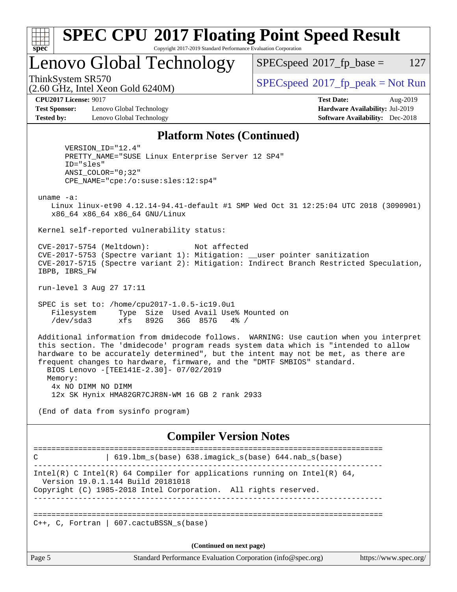| x<br>t.<br>L |  |  |  |  |  |
|--------------|--|--|--|--|--|

#### **[SPEC CPU](http://www.spec.org/auto/cpu2017/Docs/result-fields.html#SPECCPU2017FloatingPointSpeedResult)[2017 Floating Point Speed Result](http://www.spec.org/auto/cpu2017/Docs/result-fields.html#SPECCPU2017FloatingPointSpeedResult)** Copyright 2017-2019 Standard Performance Evaluation Corporation

Lenovo Global Technology

 $SPECspeed^{\circledcirc}2017_fp\_base = 127$  $SPECspeed^{\circledcirc}2017_fp\_base = 127$ 

(2.60 GHz, Intel Xeon Gold 6240M)

ThinkSystem SR570<br>  $SPECspeed*2017_fp\_peak = Not Run$  $SPECspeed*2017_fp\_peak = Not Run$ 

**[CPU2017 License:](http://www.spec.org/auto/cpu2017/Docs/result-fields.html#CPU2017License)** 9017 **[Test Date:](http://www.spec.org/auto/cpu2017/Docs/result-fields.html#TestDate)** Aug-2019

**[Test Sponsor:](http://www.spec.org/auto/cpu2017/Docs/result-fields.html#TestSponsor)** Lenovo Global Technology **[Hardware Availability:](http://www.spec.org/auto/cpu2017/Docs/result-fields.html#HardwareAvailability)** Jul-2019 **[Tested by:](http://www.spec.org/auto/cpu2017/Docs/result-fields.html#Testedby)** Lenovo Global Technology **[Software Availability:](http://www.spec.org/auto/cpu2017/Docs/result-fields.html#SoftwareAvailability)** Dec-2018

#### **[Platform Notes \(Continued\)](http://www.spec.org/auto/cpu2017/Docs/result-fields.html#PlatformNotes)**

 VERSION\_ID="12.4" PRETTY\_NAME="SUSE Linux Enterprise Server 12 SP4" ID="sles" ANSI\_COLOR="0;32" CPE\_NAME="cpe:/o:suse:sles:12:sp4"

uname -a:

 Linux linux-et90 4.12.14-94.41-default #1 SMP Wed Oct 31 12:25:04 UTC 2018 (3090901) x86\_64 x86\_64 x86\_64 GNU/Linux

Kernel self-reported vulnerability status:

 CVE-2017-5754 (Meltdown): Not affected CVE-2017-5753 (Spectre variant 1): Mitigation: \_\_user pointer sanitization CVE-2017-5715 (Spectre variant 2): Mitigation: Indirect Branch Restricted Speculation, IBPB, IBRS\_FW

run-level 3 Aug 27 17:11

 SPEC is set to: /home/cpu2017-1.0.5-ic19.0u1 Filesystem Type Size Used Avail Use% Mounted on /dev/sda3 xfs 892G 36G 857G 4% /

 Additional information from dmidecode follows. WARNING: Use caution when you interpret this section. The 'dmidecode' program reads system data which is "intended to allow hardware to be accurately determined", but the intent may not be met, as there are frequent changes to hardware, firmware, and the "DMTF SMBIOS" standard. BIOS Lenovo -[TEE141E-2.30]- 07/02/2019 Memory: 4x NO DIMM NO DIMM

12x SK Hynix HMA82GR7CJR8N-WM 16 GB 2 rank 2933

(End of data from sysinfo program)

#### **[Compiler Version Notes](http://www.spec.org/auto/cpu2017/Docs/result-fields.html#CompilerVersionNotes)**

============================================================================== C | 619.lbm\_s(base) 638.imagick\_s(base) 644.nab\_s(base) ------------------------------------------------------------------------------ Intel(R) C Intel(R) 64 Compiler for applications running on Intel(R)  $64$ , Version 19.0.1.144 Build 20181018 Copyright (C) 1985-2018 Intel Corporation. All rights reserved. ------------------------------------------------------------------------------ ==============================================================================  $C_{++}$ , C, Fortran | 607.cactuBSSN s(base) **(Continued on next page)**

Page 5 Standard Performance Evaluation Corporation [\(info@spec.org\)](mailto:info@spec.org) <https://www.spec.org/>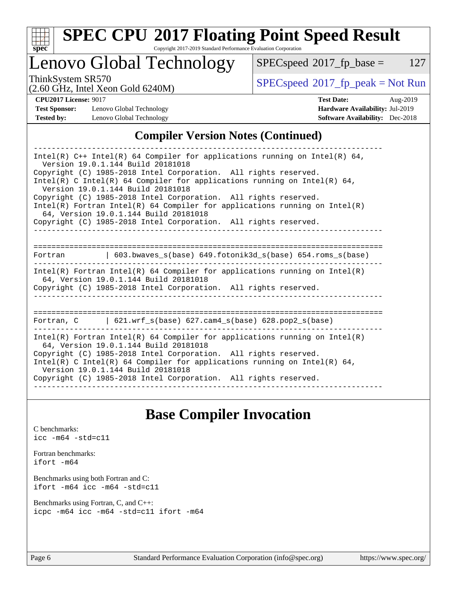

# **[SPEC CPU](http://www.spec.org/auto/cpu2017/Docs/result-fields.html#SPECCPU2017FloatingPointSpeedResult)[2017 Floating Point Speed Result](http://www.spec.org/auto/cpu2017/Docs/result-fields.html#SPECCPU2017FloatingPointSpeedResult)**

Copyright 2017-2019 Standard Performance Evaluation Corporation

# Lenovo Global Technology

 $SPEC speed@2017_fp\_base = 127$ 

ThinkSystem SR570<br>  $\begin{array}{c}\n\text{SPEC speed} \text{?}2017\_fp\_peak = Not Run \\
\text{C} \text{?}60 \text{ GHz} \text{.} \text{I} \text{.} \text{V} \text{.} \text{C} \text{?} \text{.} \text{C} \text{.} \text{C} \text{.} \text{C} \text{.} \text{.} \text{C} \text{.} \text{.} \text{C} \text{.} \text{.} \text{C} \text{.} \text{.} \text{C} \text{.} \text{.} \text{C} \text{.} \text{.} \text$ 

**[Test Sponsor:](http://www.spec.org/auto/cpu2017/Docs/result-fields.html#TestSponsor)** Lenovo Global Technology **[Hardware Availability:](http://www.spec.org/auto/cpu2017/Docs/result-fields.html#HardwareAvailability)** Jul-2019 **[Tested by:](http://www.spec.org/auto/cpu2017/Docs/result-fields.html#Testedby)** Lenovo Global Technology **[Software Availability:](http://www.spec.org/auto/cpu2017/Docs/result-fields.html#SoftwareAvailability)** Dec-2018

(2.60 GHz, Intel Xeon Gold 6240M)

**[CPU2017 License:](http://www.spec.org/auto/cpu2017/Docs/result-fields.html#CPU2017License)** 9017 **[Test Date:](http://www.spec.org/auto/cpu2017/Docs/result-fields.html#TestDate)** Aug-2019

#### **[Compiler Version Notes \(Continued\)](http://www.spec.org/auto/cpu2017/Docs/result-fields.html#CompilerVersionNotes)**

| Intel(R) $C++$ Intel(R) 64 Compiler for applications running on Intel(R) 64,<br>Version 19.0.1.144 Build 20181018<br>Copyright (C) 1985-2018 Intel Corporation. All rights reserved.<br>Intel(R) C Intel(R) 64 Compiler for applications running on Intel(R) 64,<br>Version 19.0.1.144 Build 20181018<br>Copyright (C) 1985-2018 Intel Corporation. All rights reserved.<br>$Intel(R)$ Fortran Intel(R) 64 Compiler for applications running on Intel(R)<br>64, Version 19.0.1.144 Build 20181018<br>Copyright (C) 1985-2018 Intel Corporation. All rights reserved. |  |  |  |  |  |
|----------------------------------------------------------------------------------------------------------------------------------------------------------------------------------------------------------------------------------------------------------------------------------------------------------------------------------------------------------------------------------------------------------------------------------------------------------------------------------------------------------------------------------------------------------------------|--|--|--|--|--|
|                                                                                                                                                                                                                                                                                                                                                                                                                                                                                                                                                                      |  |  |  |  |  |
|                                                                                                                                                                                                                                                                                                                                                                                                                                                                                                                                                                      |  |  |  |  |  |
| Fortran 		   603.bwaves_s(base) 649.fotonik3d_s(base) 654.roms_s(base)                                                                                                                                                                                                                                                                                                                                                                                                                                                                                               |  |  |  |  |  |
| Intel(R) Fortran Intel(R) 64 Compiler for applications running on Intel(R)<br>64, Version 19.0.1.144 Build 20181018<br>Copyright (C) 1985-2018 Intel Corporation. All rights reserved.                                                                                                                                                                                                                                                                                                                                                                               |  |  |  |  |  |
|                                                                                                                                                                                                                                                                                                                                                                                                                                                                                                                                                                      |  |  |  |  |  |
| Fortran, $C = \{621. \text{wrf s}(\text{base}) \}$ 627. cam4 s(base) 628. pop2 s(base)                                                                                                                                                                                                                                                                                                                                                                                                                                                                               |  |  |  |  |  |
| Intel(R) Fortran Intel(R) 64 Compiler for applications running on Intel(R)<br>64, Version 19.0.1.144 Build 20181018<br>Copyright (C) 1985-2018 Intel Corporation. All rights reserved.<br>Intel(R) C Intel(R) 64 Compiler for applications running on Intel(R) 64,<br>Version 19.0.1.144 Build 20181018<br>Copyright (C) 1985-2018 Intel Corporation. All rights reserved.                                                                                                                                                                                           |  |  |  |  |  |

# **[Base Compiler Invocation](http://www.spec.org/auto/cpu2017/Docs/result-fields.html#BaseCompilerInvocation)**

[C benchmarks](http://www.spec.org/auto/cpu2017/Docs/result-fields.html#Cbenchmarks): [icc -m64 -std=c11](http://www.spec.org/cpu2017/results/res2019q3/cpu2017-20190903-17669.flags.html#user_CCbase_intel_icc_64bit_c11_33ee0cdaae7deeeab2a9725423ba97205ce30f63b9926c2519791662299b76a0318f32ddfffdc46587804de3178b4f9328c46fa7c2b0cd779d7a61945c91cd35)

[Fortran benchmarks](http://www.spec.org/auto/cpu2017/Docs/result-fields.html#Fortranbenchmarks): [ifort -m64](http://www.spec.org/cpu2017/results/res2019q3/cpu2017-20190903-17669.flags.html#user_FCbase_intel_ifort_64bit_24f2bb282fbaeffd6157abe4f878425411749daecae9a33200eee2bee2fe76f3b89351d69a8130dd5949958ce389cf37ff59a95e7a40d588e8d3a57e0c3fd751)

[Benchmarks using both Fortran and C](http://www.spec.org/auto/cpu2017/Docs/result-fields.html#BenchmarksusingbothFortranandC): [ifort -m64](http://www.spec.org/cpu2017/results/res2019q3/cpu2017-20190903-17669.flags.html#user_CC_FCbase_intel_ifort_64bit_24f2bb282fbaeffd6157abe4f878425411749daecae9a33200eee2bee2fe76f3b89351d69a8130dd5949958ce389cf37ff59a95e7a40d588e8d3a57e0c3fd751) [icc -m64 -std=c11](http://www.spec.org/cpu2017/results/res2019q3/cpu2017-20190903-17669.flags.html#user_CC_FCbase_intel_icc_64bit_c11_33ee0cdaae7deeeab2a9725423ba97205ce30f63b9926c2519791662299b76a0318f32ddfffdc46587804de3178b4f9328c46fa7c2b0cd779d7a61945c91cd35)

[Benchmarks using Fortran, C, and C++:](http://www.spec.org/auto/cpu2017/Docs/result-fields.html#BenchmarksusingFortranCandCXX) [icpc -m64](http://www.spec.org/cpu2017/results/res2019q3/cpu2017-20190903-17669.flags.html#user_CC_CXX_FCbase_intel_icpc_64bit_4ecb2543ae3f1412ef961e0650ca070fec7b7afdcd6ed48761b84423119d1bf6bdf5cad15b44d48e7256388bc77273b966e5eb805aefd121eb22e9299b2ec9d9) [icc -m64 -std=c11](http://www.spec.org/cpu2017/results/res2019q3/cpu2017-20190903-17669.flags.html#user_CC_CXX_FCbase_intel_icc_64bit_c11_33ee0cdaae7deeeab2a9725423ba97205ce30f63b9926c2519791662299b76a0318f32ddfffdc46587804de3178b4f9328c46fa7c2b0cd779d7a61945c91cd35) [ifort -m64](http://www.spec.org/cpu2017/results/res2019q3/cpu2017-20190903-17669.flags.html#user_CC_CXX_FCbase_intel_ifort_64bit_24f2bb282fbaeffd6157abe4f878425411749daecae9a33200eee2bee2fe76f3b89351d69a8130dd5949958ce389cf37ff59a95e7a40d588e8d3a57e0c3fd751)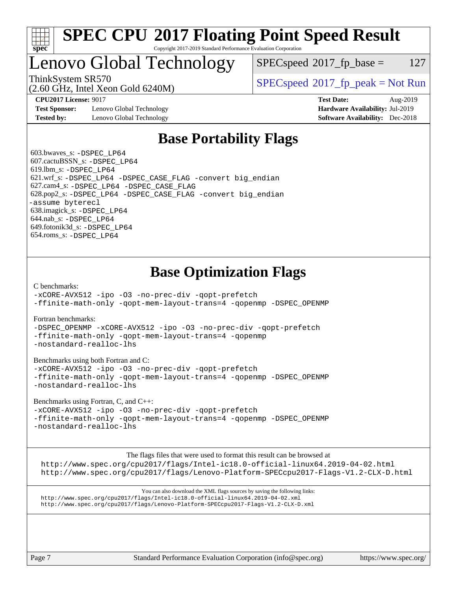

#### **[SPEC CPU](http://www.spec.org/auto/cpu2017/Docs/result-fields.html#SPECCPU2017FloatingPointSpeedResult)[2017 Floating Point Speed Result](http://www.spec.org/auto/cpu2017/Docs/result-fields.html#SPECCPU2017FloatingPointSpeedResult)** Copyright 2017-2019 Standard Performance Evaluation Corporation

# Lenovo Global Technology

 $SPEC speed^{\circ}2017\_fp\_base = 127$ 

(2.60 GHz, Intel Xeon Gold 6240M)

ThinkSystem SR570<br>  $SPEC speed^{\circ}2017$  [p\_peak = Not Run

**[Test Sponsor:](http://www.spec.org/auto/cpu2017/Docs/result-fields.html#TestSponsor)** Lenovo Global Technology **[Hardware Availability:](http://www.spec.org/auto/cpu2017/Docs/result-fields.html#HardwareAvailability)** Jul-2019 **[Tested by:](http://www.spec.org/auto/cpu2017/Docs/result-fields.html#Testedby)** Lenovo Global Technology **[Software Availability:](http://www.spec.org/auto/cpu2017/Docs/result-fields.html#SoftwareAvailability)** Dec-2018

**[CPU2017 License:](http://www.spec.org/auto/cpu2017/Docs/result-fields.html#CPU2017License)** 9017 **[Test Date:](http://www.spec.org/auto/cpu2017/Docs/result-fields.html#TestDate)** Aug-2019

# **[Base Portability Flags](http://www.spec.org/auto/cpu2017/Docs/result-fields.html#BasePortabilityFlags)**

 603.bwaves\_s: [-DSPEC\\_LP64](http://www.spec.org/cpu2017/results/res2019q3/cpu2017-20190903-17669.flags.html#suite_basePORTABILITY603_bwaves_s_DSPEC_LP64) 607.cactuBSSN\_s: [-DSPEC\\_LP64](http://www.spec.org/cpu2017/results/res2019q3/cpu2017-20190903-17669.flags.html#suite_basePORTABILITY607_cactuBSSN_s_DSPEC_LP64) 619.lbm\_s: [-DSPEC\\_LP64](http://www.spec.org/cpu2017/results/res2019q3/cpu2017-20190903-17669.flags.html#suite_basePORTABILITY619_lbm_s_DSPEC_LP64) 621.wrf\_s: [-DSPEC\\_LP64](http://www.spec.org/cpu2017/results/res2019q3/cpu2017-20190903-17669.flags.html#suite_basePORTABILITY621_wrf_s_DSPEC_LP64) [-DSPEC\\_CASE\\_FLAG](http://www.spec.org/cpu2017/results/res2019q3/cpu2017-20190903-17669.flags.html#b621.wrf_s_baseCPORTABILITY_DSPEC_CASE_FLAG) [-convert big\\_endian](http://www.spec.org/cpu2017/results/res2019q3/cpu2017-20190903-17669.flags.html#user_baseFPORTABILITY621_wrf_s_convert_big_endian_c3194028bc08c63ac5d04de18c48ce6d347e4e562e8892b8bdbdc0214820426deb8554edfa529a3fb25a586e65a3d812c835984020483e7e73212c4d31a38223) 627.cam4\_s: [-DSPEC\\_LP64](http://www.spec.org/cpu2017/results/res2019q3/cpu2017-20190903-17669.flags.html#suite_basePORTABILITY627_cam4_s_DSPEC_LP64) [-DSPEC\\_CASE\\_FLAG](http://www.spec.org/cpu2017/results/res2019q3/cpu2017-20190903-17669.flags.html#b627.cam4_s_baseCPORTABILITY_DSPEC_CASE_FLAG) 628.pop2\_s: [-DSPEC\\_LP64](http://www.spec.org/cpu2017/results/res2019q3/cpu2017-20190903-17669.flags.html#suite_basePORTABILITY628_pop2_s_DSPEC_LP64) [-DSPEC\\_CASE\\_FLAG](http://www.spec.org/cpu2017/results/res2019q3/cpu2017-20190903-17669.flags.html#b628.pop2_s_baseCPORTABILITY_DSPEC_CASE_FLAG) [-convert big\\_endian](http://www.spec.org/cpu2017/results/res2019q3/cpu2017-20190903-17669.flags.html#user_baseFPORTABILITY628_pop2_s_convert_big_endian_c3194028bc08c63ac5d04de18c48ce6d347e4e562e8892b8bdbdc0214820426deb8554edfa529a3fb25a586e65a3d812c835984020483e7e73212c4d31a38223) [-assume byterecl](http://www.spec.org/cpu2017/results/res2019q3/cpu2017-20190903-17669.flags.html#user_baseFPORTABILITY628_pop2_s_assume_byterecl_7e47d18b9513cf18525430bbf0f2177aa9bf368bc7a059c09b2c06a34b53bd3447c950d3f8d6c70e3faf3a05c8557d66a5798b567902e8849adc142926523472) 638.imagick\_s: [-DSPEC\\_LP64](http://www.spec.org/cpu2017/results/res2019q3/cpu2017-20190903-17669.flags.html#suite_basePORTABILITY638_imagick_s_DSPEC_LP64) 644.nab\_s: [-DSPEC\\_LP64](http://www.spec.org/cpu2017/results/res2019q3/cpu2017-20190903-17669.flags.html#suite_basePORTABILITY644_nab_s_DSPEC_LP64) 649.fotonik3d\_s: [-DSPEC\\_LP64](http://www.spec.org/cpu2017/results/res2019q3/cpu2017-20190903-17669.flags.html#suite_basePORTABILITY649_fotonik3d_s_DSPEC_LP64) 654.roms\_s: [-DSPEC\\_LP64](http://www.spec.org/cpu2017/results/res2019q3/cpu2017-20190903-17669.flags.html#suite_basePORTABILITY654_roms_s_DSPEC_LP64)

# **[Base Optimization Flags](http://www.spec.org/auto/cpu2017/Docs/result-fields.html#BaseOptimizationFlags)**

[C benchmarks](http://www.spec.org/auto/cpu2017/Docs/result-fields.html#Cbenchmarks):

[-xCORE-AVX512](http://www.spec.org/cpu2017/results/res2019q3/cpu2017-20190903-17669.flags.html#user_CCbase_f-xCORE-AVX512) [-ipo](http://www.spec.org/cpu2017/results/res2019q3/cpu2017-20190903-17669.flags.html#user_CCbase_f-ipo) [-O3](http://www.spec.org/cpu2017/results/res2019q3/cpu2017-20190903-17669.flags.html#user_CCbase_f-O3) [-no-prec-div](http://www.spec.org/cpu2017/results/res2019q3/cpu2017-20190903-17669.flags.html#user_CCbase_f-no-prec-div) [-qopt-prefetch](http://www.spec.org/cpu2017/results/res2019q3/cpu2017-20190903-17669.flags.html#user_CCbase_f-qopt-prefetch) [-ffinite-math-only](http://www.spec.org/cpu2017/results/res2019q3/cpu2017-20190903-17669.flags.html#user_CCbase_f_finite_math_only_cb91587bd2077682c4b38af759c288ed7c732db004271a9512da14a4f8007909a5f1427ecbf1a0fb78ff2a814402c6114ac565ca162485bbcae155b5e4258871) [-qopt-mem-layout-trans=4](http://www.spec.org/cpu2017/results/res2019q3/cpu2017-20190903-17669.flags.html#user_CCbase_f-qopt-mem-layout-trans_fa39e755916c150a61361b7846f310bcdf6f04e385ef281cadf3647acec3f0ae266d1a1d22d972a7087a248fd4e6ca390a3634700869573d231a252c784941a8) [-qopenmp](http://www.spec.org/cpu2017/results/res2019q3/cpu2017-20190903-17669.flags.html#user_CCbase_qopenmp_16be0c44f24f464004c6784a7acb94aca937f053568ce72f94b139a11c7c168634a55f6653758ddd83bcf7b8463e8028bb0b48b77bcddc6b78d5d95bb1df2967) [-DSPEC\\_OPENMP](http://www.spec.org/cpu2017/results/res2019q3/cpu2017-20190903-17669.flags.html#suite_CCbase_DSPEC_OPENMP)

[Fortran benchmarks](http://www.spec.org/auto/cpu2017/Docs/result-fields.html#Fortranbenchmarks):

[-DSPEC\\_OPENMP](http://www.spec.org/cpu2017/results/res2019q3/cpu2017-20190903-17669.flags.html#suite_FCbase_DSPEC_OPENMP) [-xCORE-AVX512](http://www.spec.org/cpu2017/results/res2019q3/cpu2017-20190903-17669.flags.html#user_FCbase_f-xCORE-AVX512) [-ipo](http://www.spec.org/cpu2017/results/res2019q3/cpu2017-20190903-17669.flags.html#user_FCbase_f-ipo) [-O3](http://www.spec.org/cpu2017/results/res2019q3/cpu2017-20190903-17669.flags.html#user_FCbase_f-O3) [-no-prec-div](http://www.spec.org/cpu2017/results/res2019q3/cpu2017-20190903-17669.flags.html#user_FCbase_f-no-prec-div) [-qopt-prefetch](http://www.spec.org/cpu2017/results/res2019q3/cpu2017-20190903-17669.flags.html#user_FCbase_f-qopt-prefetch) [-ffinite-math-only](http://www.spec.org/cpu2017/results/res2019q3/cpu2017-20190903-17669.flags.html#user_FCbase_f_finite_math_only_cb91587bd2077682c4b38af759c288ed7c732db004271a9512da14a4f8007909a5f1427ecbf1a0fb78ff2a814402c6114ac565ca162485bbcae155b5e4258871) [-qopt-mem-layout-trans=4](http://www.spec.org/cpu2017/results/res2019q3/cpu2017-20190903-17669.flags.html#user_FCbase_f-qopt-mem-layout-trans_fa39e755916c150a61361b7846f310bcdf6f04e385ef281cadf3647acec3f0ae266d1a1d22d972a7087a248fd4e6ca390a3634700869573d231a252c784941a8) [-qopenmp](http://www.spec.org/cpu2017/results/res2019q3/cpu2017-20190903-17669.flags.html#user_FCbase_qopenmp_16be0c44f24f464004c6784a7acb94aca937f053568ce72f94b139a11c7c168634a55f6653758ddd83bcf7b8463e8028bb0b48b77bcddc6b78d5d95bb1df2967) [-nostandard-realloc-lhs](http://www.spec.org/cpu2017/results/res2019q3/cpu2017-20190903-17669.flags.html#user_FCbase_f_2003_std_realloc_82b4557e90729c0f113870c07e44d33d6f5a304b4f63d4c15d2d0f1fab99f5daaed73bdb9275d9ae411527f28b936061aa8b9c8f2d63842963b95c9dd6426b8a)

[Benchmarks using both Fortran and C](http://www.spec.org/auto/cpu2017/Docs/result-fields.html#BenchmarksusingbothFortranandC):

[-xCORE-AVX512](http://www.spec.org/cpu2017/results/res2019q3/cpu2017-20190903-17669.flags.html#user_CC_FCbase_f-xCORE-AVX512) [-ipo](http://www.spec.org/cpu2017/results/res2019q3/cpu2017-20190903-17669.flags.html#user_CC_FCbase_f-ipo) [-O3](http://www.spec.org/cpu2017/results/res2019q3/cpu2017-20190903-17669.flags.html#user_CC_FCbase_f-O3) [-no-prec-div](http://www.spec.org/cpu2017/results/res2019q3/cpu2017-20190903-17669.flags.html#user_CC_FCbase_f-no-prec-div) [-qopt-prefetch](http://www.spec.org/cpu2017/results/res2019q3/cpu2017-20190903-17669.flags.html#user_CC_FCbase_f-qopt-prefetch) [-ffinite-math-only](http://www.spec.org/cpu2017/results/res2019q3/cpu2017-20190903-17669.flags.html#user_CC_FCbase_f_finite_math_only_cb91587bd2077682c4b38af759c288ed7c732db004271a9512da14a4f8007909a5f1427ecbf1a0fb78ff2a814402c6114ac565ca162485bbcae155b5e4258871) [-qopt-mem-layout-trans=4](http://www.spec.org/cpu2017/results/res2019q3/cpu2017-20190903-17669.flags.html#user_CC_FCbase_f-qopt-mem-layout-trans_fa39e755916c150a61361b7846f310bcdf6f04e385ef281cadf3647acec3f0ae266d1a1d22d972a7087a248fd4e6ca390a3634700869573d231a252c784941a8) [-qopenmp](http://www.spec.org/cpu2017/results/res2019q3/cpu2017-20190903-17669.flags.html#user_CC_FCbase_qopenmp_16be0c44f24f464004c6784a7acb94aca937f053568ce72f94b139a11c7c168634a55f6653758ddd83bcf7b8463e8028bb0b48b77bcddc6b78d5d95bb1df2967) [-DSPEC\\_OPENMP](http://www.spec.org/cpu2017/results/res2019q3/cpu2017-20190903-17669.flags.html#suite_CC_FCbase_DSPEC_OPENMP) [-nostandard-realloc-lhs](http://www.spec.org/cpu2017/results/res2019q3/cpu2017-20190903-17669.flags.html#user_CC_FCbase_f_2003_std_realloc_82b4557e90729c0f113870c07e44d33d6f5a304b4f63d4c15d2d0f1fab99f5daaed73bdb9275d9ae411527f28b936061aa8b9c8f2d63842963b95c9dd6426b8a)

[Benchmarks using Fortran, C, and C++:](http://www.spec.org/auto/cpu2017/Docs/result-fields.html#BenchmarksusingFortranCandCXX)

[-xCORE-AVX512](http://www.spec.org/cpu2017/results/res2019q3/cpu2017-20190903-17669.flags.html#user_CC_CXX_FCbase_f-xCORE-AVX512) [-ipo](http://www.spec.org/cpu2017/results/res2019q3/cpu2017-20190903-17669.flags.html#user_CC_CXX_FCbase_f-ipo) [-O3](http://www.spec.org/cpu2017/results/res2019q3/cpu2017-20190903-17669.flags.html#user_CC_CXX_FCbase_f-O3) [-no-prec-div](http://www.spec.org/cpu2017/results/res2019q3/cpu2017-20190903-17669.flags.html#user_CC_CXX_FCbase_f-no-prec-div) [-qopt-prefetch](http://www.spec.org/cpu2017/results/res2019q3/cpu2017-20190903-17669.flags.html#user_CC_CXX_FCbase_f-qopt-prefetch) [-ffinite-math-only](http://www.spec.org/cpu2017/results/res2019q3/cpu2017-20190903-17669.flags.html#user_CC_CXX_FCbase_f_finite_math_only_cb91587bd2077682c4b38af759c288ed7c732db004271a9512da14a4f8007909a5f1427ecbf1a0fb78ff2a814402c6114ac565ca162485bbcae155b5e4258871) [-qopt-mem-layout-trans=4](http://www.spec.org/cpu2017/results/res2019q3/cpu2017-20190903-17669.flags.html#user_CC_CXX_FCbase_f-qopt-mem-layout-trans_fa39e755916c150a61361b7846f310bcdf6f04e385ef281cadf3647acec3f0ae266d1a1d22d972a7087a248fd4e6ca390a3634700869573d231a252c784941a8) [-qopenmp](http://www.spec.org/cpu2017/results/res2019q3/cpu2017-20190903-17669.flags.html#user_CC_CXX_FCbase_qopenmp_16be0c44f24f464004c6784a7acb94aca937f053568ce72f94b139a11c7c168634a55f6653758ddd83bcf7b8463e8028bb0b48b77bcddc6b78d5d95bb1df2967) [-DSPEC\\_OPENMP](http://www.spec.org/cpu2017/results/res2019q3/cpu2017-20190903-17669.flags.html#suite_CC_CXX_FCbase_DSPEC_OPENMP) [-nostandard-realloc-lhs](http://www.spec.org/cpu2017/results/res2019q3/cpu2017-20190903-17669.flags.html#user_CC_CXX_FCbase_f_2003_std_realloc_82b4557e90729c0f113870c07e44d33d6f5a304b4f63d4c15d2d0f1fab99f5daaed73bdb9275d9ae411527f28b936061aa8b9c8f2d63842963b95c9dd6426b8a)

[The flags files that were used to format this result can be browsed at](tmsearch)

<http://www.spec.org/cpu2017/flags/Intel-ic18.0-official-linux64.2019-04-02.html> <http://www.spec.org/cpu2017/flags/Lenovo-Platform-SPECcpu2017-Flags-V1.2-CLX-D.html>

[You can also download the XML flags sources by saving the following links:](tmsearch) <http://www.spec.org/cpu2017/flags/Intel-ic18.0-official-linux64.2019-04-02.xml> <http://www.spec.org/cpu2017/flags/Lenovo-Platform-SPECcpu2017-Flags-V1.2-CLX-D.xml>